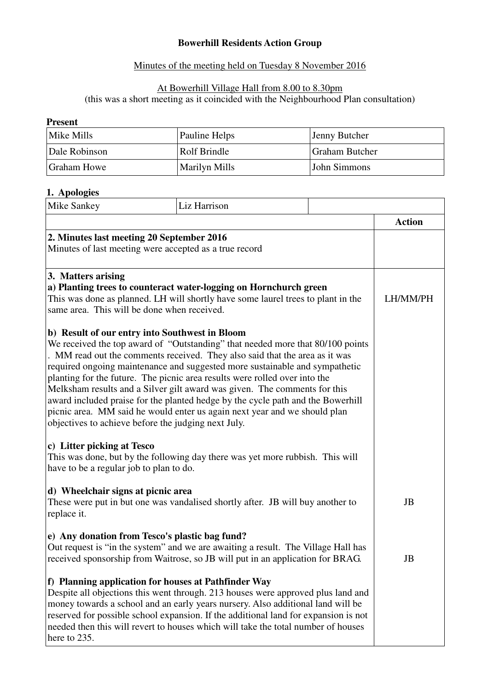# **Bowerhill Residents Action Group**

### Minutes of the meeting held on Tuesday 8 November 2016

# At Bowerhill Village Hall from 8.00 to 8.30pm

(this was a short meeting as it coincided with the Neighbourhood Plan consultation)

#### **Present**

| Mike Mills    | Pauline Helps        | Jenny Butcher         |
|---------------|----------------------|-----------------------|
| Dale Robinson | Rolf Brindle         | <b>Graham Butcher</b> |
| Graham Howe   | <b>Marilyn Mills</b> | John Simmons          |

#### **1. Apologies**

| Mike Sankey                                                                                                                                                                                                                                                                                                                                                                                                                                                                                                                                                                                    | Liz Harrison                                                                                                                                                                                                          |               |
|------------------------------------------------------------------------------------------------------------------------------------------------------------------------------------------------------------------------------------------------------------------------------------------------------------------------------------------------------------------------------------------------------------------------------------------------------------------------------------------------------------------------------------------------------------------------------------------------|-----------------------------------------------------------------------------------------------------------------------------------------------------------------------------------------------------------------------|---------------|
|                                                                                                                                                                                                                                                                                                                                                                                                                                                                                                                                                                                                |                                                                                                                                                                                                                       | <b>Action</b> |
| 2. Minutes last meeting 20 September 2016<br>Minutes of last meeting were accepted as a true record                                                                                                                                                                                                                                                                                                                                                                                                                                                                                            |                                                                                                                                                                                                                       |               |
| 3. Matters arising<br>a) Planting trees to counteract water-logging on Hornchurch green<br>This was done as planned. LH will shortly have some laurel trees to plant in the<br>same area. This will be done when received.                                                                                                                                                                                                                                                                                                                                                                     | LH/MM/PH                                                                                                                                                                                                              |               |
| b) Result of our entry into Southwest in Bloom<br>. MM read out the comments received. They also said that the area as it was<br>required ongoing maintenance and suggested more sustainable and sympathetic<br>planting for the future. The picnic area results were rolled over into the<br>Melksham results and a Silver gilt award was given. The comments for this<br>award included praise for the planted hedge by the cycle path and the Bowerhill<br>picnic area. MM said he would enter us again next year and we should plan<br>objectives to achieve before the judging next July. | We received the top award of "Outstanding" that needed more that 80/100 points                                                                                                                                        |               |
| c) Litter picking at Tesco<br>have to be a regular job to plan to do.                                                                                                                                                                                                                                                                                                                                                                                                                                                                                                                          | This was done, but by the following day there was yet more rubbish. This will                                                                                                                                         |               |
| d) Wheelchair signs at picnic area<br>replace it.                                                                                                                                                                                                                                                                                                                                                                                                                                                                                                                                              | These were put in but one was vandalised shortly after. JB will buy another to                                                                                                                                        | JB            |
|                                                                                                                                                                                                                                                                                                                                                                                                                                                                                                                                                                                                | e) Any donation from Tesco's plastic bag fund?<br>Out request is "in the system" and we are awaiting a result. The Village Hall has<br>received sponsorship from Waitrose, so JB will put in an application for BRAG. | JB            |
| f) Planning application for houses at Pathfinder Way<br>Despite all objections this went through. 213 houses were approved plus land and<br>money towards a school and an early years nursery. Also additional land will be<br>reserved for possible school expansion. If the additional land for expansion is not<br>needed then this will revert to houses which will take the total number of houses<br>here to 235.                                                                                                                                                                        |                                                                                                                                                                                                                       |               |